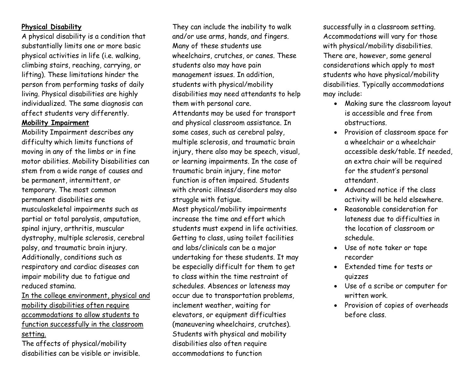### **Physical Disability**

 A physical disability is a condition that substantially limits one or more basic physical activities in life (i.e. walking, climbing stairs, reaching, carrying, or lifting). These limitations hinder the person from performing tasks of daily living. Physical disabilities are highly individualized. The same diagnosis can affect students very differently. **Mobility Impairment** 

 Mobility Impairment describes any difficulty which limits functions of moving in any of the limbs or in fine motor abilities. Mobility Disabilities can stem from a wide range of causes and be permanent, intermittent, or temporary. The most common permanent disabilities are musculoskeletal impairments such as partial or total paralysis, amputation, spinal injury, arthritis, muscular dystrophy, multiple sclerosis, cerebral palsy, and traumatic brain injury. Additionally, conditions such as respiratory and cardiac diseases can impair mobility due to fatigue and reduced stamina.

In the college environment, physical and mobility disabilities often require accommodations to allow students to function successfully in the classroom setting.

The affects of physical/mobility disabilities can be visible or invisible.

They can include the inability to walk and/or use arms, hands, and fingers. Many of these students use wheelchairs, crutches, or canes. These students also may have pain management issues. In addition, students with physical/mobility disabilities may need attendants to help them with personal care. Attendants may be used for transport and physical classroom assistance. In some cases, such as cerebral palsy, multiple sclerosis, and traumatic brain injury, there also may be speech, visual, or learning impairments. In the case of traumatic brain injury, fine motor function is often impaired. Students with chronic illness/disorders may also struggle with fatigue.

Most physical/mobility impairments increase the time and effort which students must expend in life activities. Getting to class, using toilet facilities and labs/clinicals can be a major undertaking for these students. It may be especially difficult for them to get to class within the time restraint of schedules. Absences or lateness may occur due to transportation problems, inclement weather, waiting for elevators, or equipment difficulties (maneuvering wheelchairs, crutches). Students with physical and mobility disabilities also often require accommodations to function

successfully in a classroom setting. Accommodations will vary for those with physical/mobility disabilities. There are, however, some general considerations which apply to most students who have physical/mobility disabilities. Typically accommodations may include:

- Making sure the classroom layout is accessible and free from obstructions.
- Provision of classroom space for a wheelchair or a wheelchair accessible desk/table. If needed, an extra chair will be required for the student's personal attendant.
- Advanced notice if the class activity will be held elsewhere.
- Reasonable consideration for lateness due to difficulties in the location of classroom or schedule.
- Use of note taker or tape recorder
- Extended time for tests or quizzes
- Use of a scribe or computer for written work.
- Provision of copies of overheads before class.